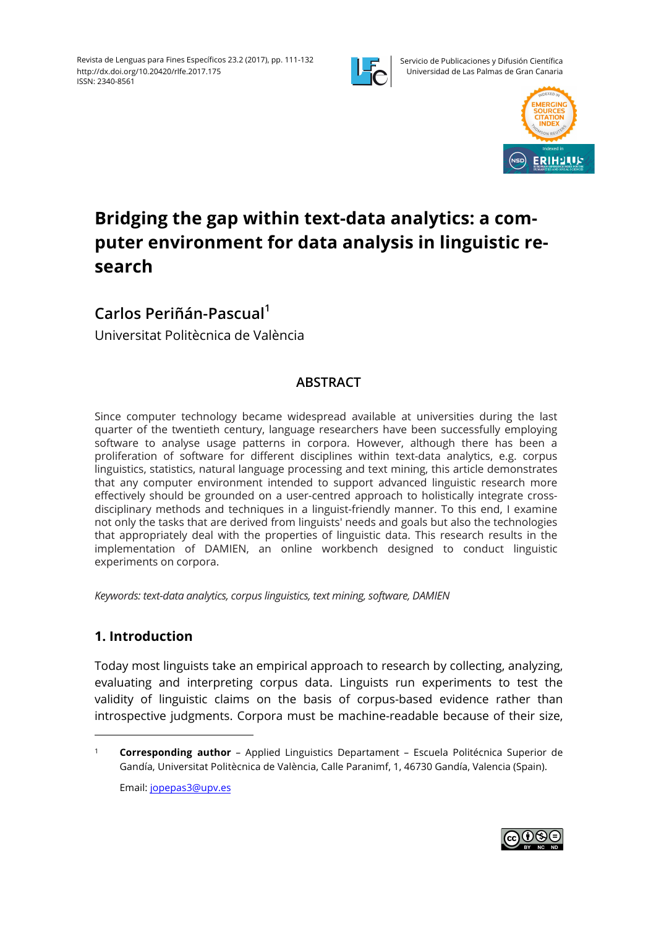

Servicio de Publicaciones y Difusión Científica Universidad de Las Palmas de Gran Canaria



# **Bridging the gap within text-data analytics: a computer environment for data analysis in linguistic research**

# **Carlos Periñán-Pascual1**

Universitat Politècnica de València

# **ABSTRACT**

Since computer technology became widespread available at universities during the last quarter of the twentieth century, language researchers have been successfully employing software to analyse usage patterns in corpora. However, although there has been a proliferation of software for different disciplines within text-data analytics, e.g. corpus linguistics, statistics, natural language processing and text mining, this article demonstrates that any computer environment intended to support advanced linguistic research more effectively should be grounded on a user-centred approach to holistically integrate crossdisciplinary methods and techniques in a linguist-friendly manner. To this end, I examine not only the tasks that are derived from linguists' needs and goals but also the technologies that appropriately deal with the properties of linguistic data. This research results in the implementation of DAMIEN, an online workbench designed to conduct linguistic experiments on corpora.

*Keywords: text-data analytics, corpus linguistics, text mining, software, DAMIEN*

## **1. Introduction**

Today most linguists take an empirical approach to research by collecting, analyzing, evaluating and interpreting corpus data. Linguists run experiments to test the validity of linguistic claims on the basis of corpus-based evidence rather than introspective judgments. Corpora must be machine-readable because of their size,

<sup>1</sup> **Corresponding author** – Applied Linguistics Departament – Escuela Politécnica Superior de Gandía, Universitat Politècnica de València, Calle Paranimf, 1, 46730 Gandía, Valencia (Spain). Email: jopepas3@upv.es

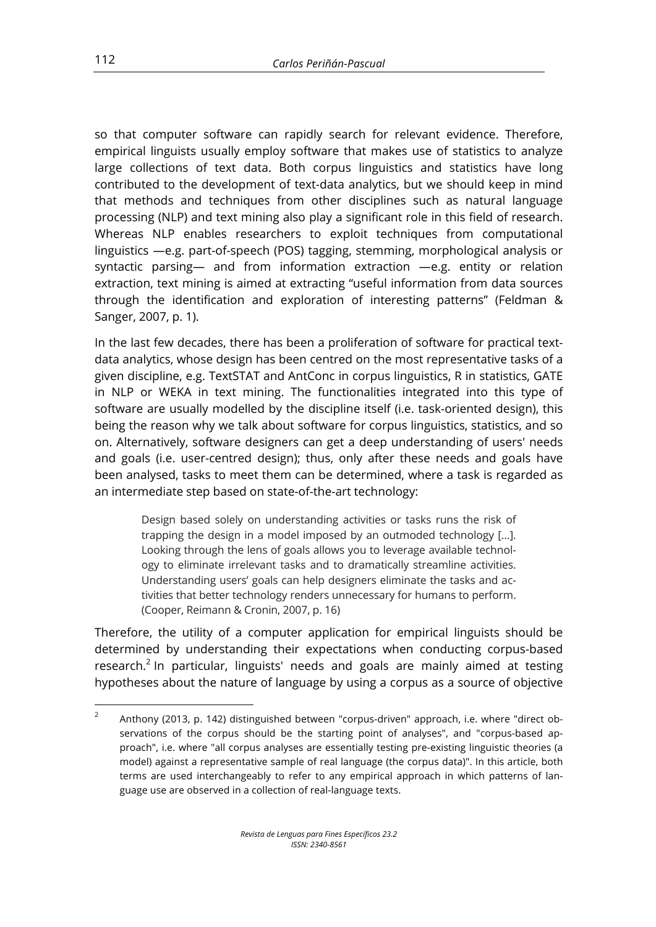so that computer software can rapidly search for relevant evidence. Therefore, empirical linguists usually employ software that makes use of statistics to analyze large collections of text data. Both corpus linguistics and statistics have long contributed to the development of text-data analytics, but we should keep in mind that methods and techniques from other disciplines such as natural language processing (NLP) and text mining also play a significant role in this field of research. Whereas NLP enables researchers to exploit techniques from computational linguistics —e.g. part-of-speech (POS) tagging, stemming, morphological analysis or syntactic parsing— and from information extraction —e.g. entity or relation extraction, text mining is aimed at extracting "useful information from data sources through the identification and exploration of interesting patterns" (Feldman & Sanger, 2007, p. 1).

In the last few decades, there has been a proliferation of software for practical textdata analytics, whose design has been centred on the most representative tasks of a given discipline, e.g. TextSTAT and AntConc in corpus linguistics, R in statistics, GATE in NLP or WEKA in text mining. The functionalities integrated into this type of software are usually modelled by the discipline itself (i.e. task-oriented design), this being the reason why we talk about software for corpus linguistics, statistics, and so on. Alternatively, software designers can get a deep understanding of users' needs and goals (i.e. user-centred design); thus, only after these needs and goals have been analysed, tasks to meet them can be determined, where a task is regarded as an intermediate step based on state-of-the-art technology:

Design based solely on understanding activities or tasks runs the risk of trapping the design in a model imposed by an outmoded technology […]. Looking through the lens of goals allows you to leverage available technology to eliminate irrelevant tasks and to dramatically streamline activities. Understanding users' goals can help designers eliminate the tasks and activities that better technology renders unnecessary for humans to perform. (Cooper, Reimann & Cronin, 2007, p. 16)

Therefore, the utility of a computer application for empirical linguists should be determined by understanding their expectations when conducting corpus-based research.<sup>2</sup> In particular, linguists' needs and goals are mainly aimed at testing hypotheses about the nature of language by using a corpus as a source of objective

<sup>&</sup>lt;sup>2</sup> Anthony (2013, p. 142) distinguished between "corpus-driven" approach, i.e. where "direct observations of the corpus should be the starting point of analyses", and "corpus-based approach", i.e. where "all corpus analyses are essentially testing pre-existing linguistic theories (a model) against a representative sample of real language (the corpus data)". In this article, both terms are used interchangeably to refer to any empirical approach in which patterns of language use are observed in a collection of real-language texts.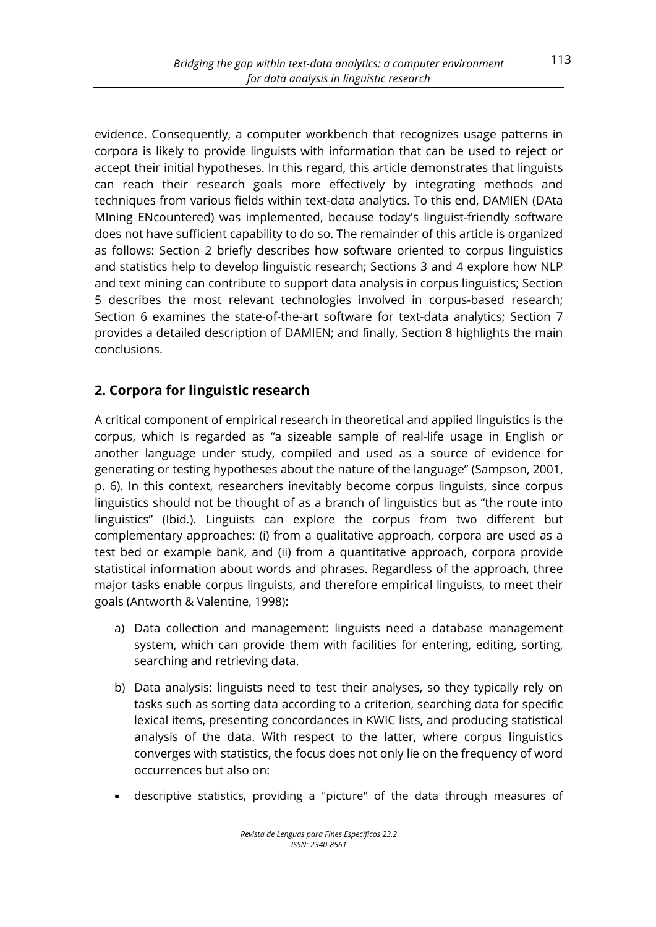evidence. Consequently, a computer workbench that recognizes usage patterns in corpora is likely to provide linguists with information that can be used to reject or accept their initial hypotheses. In this regard, this article demonstrates that linguists can reach their research goals more effectively by integrating methods and techniques from various fields within text-data analytics. To this end, DAMIEN (DAta MIning ENcountered) was implemented, because today's linguist-friendly software does not have sufficient capability to do so. The remainder of this article is organized as follows: Section 2 briefly describes how software oriented to corpus linguistics and statistics help to develop linguistic research; Sections 3 and 4 explore how NLP and text mining can contribute to support data analysis in corpus linguistics; Section 5 describes the most relevant technologies involved in corpus-based research; Section 6 examines the state-of-the-art software for text-data analytics; Section 7 provides a detailed description of DAMIEN; and finally, Section 8 highlights the main conclusions.

# **2. Corpora for linguistic research**

A critical component of empirical research in theoretical and applied linguistics is the corpus, which is regarded as "a sizeable sample of real-life usage in English or another language under study, compiled and used as a source of evidence for generating or testing hypotheses about the nature of the language" (Sampson, 2001, p. 6). In this context, researchers inevitably become corpus linguists, since corpus linguistics should not be thought of as a branch of linguistics but as "the route into linguistics" (Ibid*.*). Linguists can explore the corpus from two different but complementary approaches: (i) from a qualitative approach, corpora are used as a test bed or example bank, and (ii) from a quantitative approach, corpora provide statistical information about words and phrases. Regardless of the approach, three major tasks enable corpus linguists, and therefore empirical linguists, to meet their goals (Antworth & Valentine, 1998):

- a) Data collection and management: linguists need a database management system, which can provide them with facilities for entering, editing, sorting, searching and retrieving data.
- b) Data analysis: linguists need to test their analyses, so they typically rely on tasks such as sorting data according to a criterion, searching data for specific lexical items, presenting concordances in KWIC lists, and producing statistical analysis of the data. With respect to the latter, where corpus linguistics converges with statistics, the focus does not only lie on the frequency of word occurrences but also on:
- descriptive statistics, providing a "picture" of the data through measures of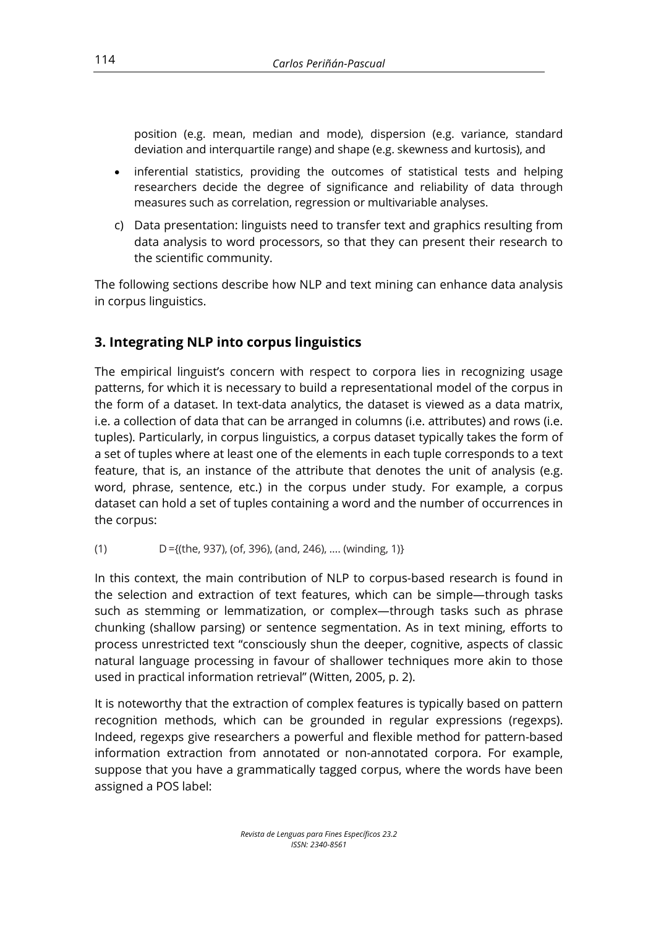position (e.g. mean, median and mode), dispersion (e.g. variance, standard deviation and interquartile range) and shape (e.g. skewness and kurtosis), and

- inferential statistics, providing the outcomes of statistical tests and helping researchers decide the degree of significance and reliability of data through measures such as correlation, regression or multivariable analyses.
- c) Data presentation: linguists need to transfer text and graphics resulting from data analysis to word processors, so that they can present their research to the scientific community.

The following sections describe how NLP and text mining can enhance data analysis in corpus linguistics.

# **3. Integrating NLP into corpus linguistics**

The empirical linguist's concern with respect to corpora lies in recognizing usage patterns, for which it is necessary to build a representational model of the corpus in the form of a dataset. In text-data analytics, the dataset is viewed as a data matrix, i.e. a collection of data that can be arranged in columns (i.e. attributes) and rows (i.e. tuples). Particularly, in corpus linguistics, a corpus dataset typically takes the form of a set of tuples where at least one of the elements in each tuple corresponds to a text feature, that is, an instance of the attribute that denotes the unit of analysis (e.g. word, phrase, sentence, etc.) in the corpus under study. For example, a corpus dataset can hold a set of tuples containing a word and the number of occurrences in the corpus:

(1)  $D = \{(the, 937), (of, 396), (and, 246), ..., (winding, 1)\}\$ 

In this context, the main contribution of NLP to corpus-based research is found in the selection and extraction of text features, which can be simple—through tasks such as stemming or lemmatization, or complex—through tasks such as phrase chunking (shallow parsing) or sentence segmentation. As in text mining, efforts to process unrestricted text "consciously shun the deeper, cognitive, aspects of classic natural language processing in favour of shallower techniques more akin to those used in practical information retrieval" (Witten, 2005, p. 2).

It is noteworthy that the extraction of complex features is typically based on pattern recognition methods, which can be grounded in regular expressions (regexps). Indeed, regexps give researchers a powerful and flexible method for pattern-based information extraction from annotated or non-annotated corpora. For example, suppose that you have a grammatically tagged corpus, where the words have been assigned a POS label: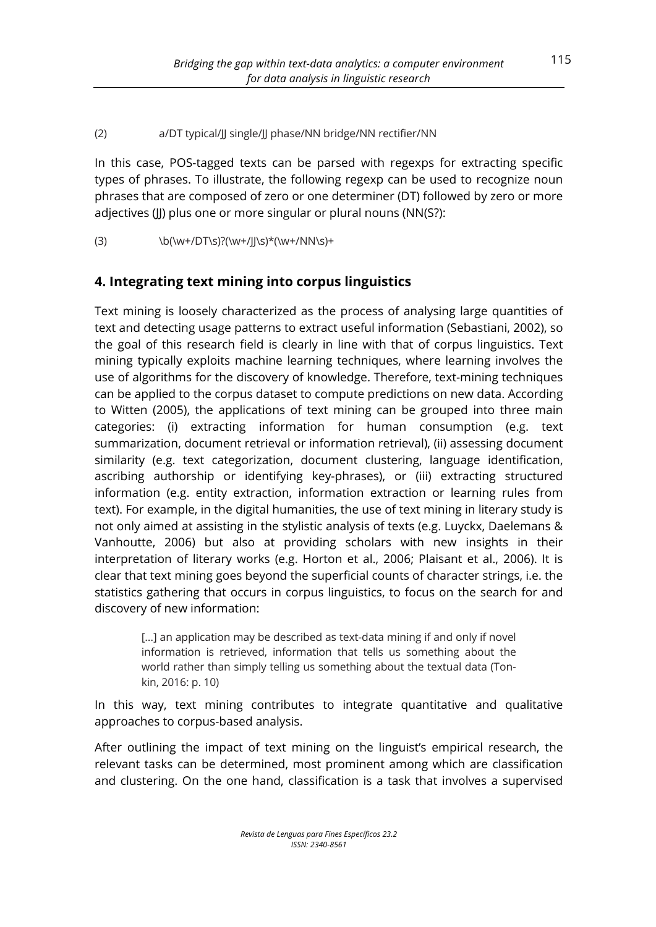#### (2) a/DT typical/JJ single/JJ phase/NN bridge/NN rectifier/NN

In this case, POS-tagged texts can be parsed with regexps for extracting specific types of phrases. To illustrate, the following regexp can be used to recognize noun phrases that are composed of zero or one determiner (DT) followed by zero or more adjectives (II) plus one or more singular or plural nouns (NN(S?):

(3)  $\{b(\w+/DT\s)?\w+\frac{J}{s}*\w+/NN\s)+$ 

# **4. Integrating text mining into corpus linguistics**

Text mining is loosely characterized as the process of analysing large quantities of text and detecting usage patterns to extract useful information (Sebastiani, 2002), so the goal of this research field is clearly in line with that of corpus linguistics. Text mining typically exploits machine learning techniques, where learning involves the use of algorithms for the discovery of knowledge. Therefore, text-mining techniques can be applied to the corpus dataset to compute predictions on new data. According to Witten (2005), the applications of text mining can be grouped into three main categories: (i) extracting information for human consumption (e.g. text summarization, document retrieval or information retrieval), (ii) assessing document similarity (e.g. text categorization, document clustering, language identification, ascribing authorship or identifying key-phrases), or (iii) extracting structured information (e.g. entity extraction, information extraction or learning rules from text). For example, in the digital humanities, the use of text mining in literary study is not only aimed at assisting in the stylistic analysis of texts (e.g. Luyckx, Daelemans & Vanhoutte, 2006) but also at providing scholars with new insights in their interpretation of literary works (e.g. Horton et al., 2006; Plaisant et al., 2006). It is clear that text mining goes beyond the superficial counts of character strings, i.e. the statistics gathering that occurs in corpus linguistics, to focus on the search for and discovery of new information:

[...] an application may be described as text-data mining if and only if novel information is retrieved, information that tells us something about the world rather than simply telling us something about the textual data (Tonkin, 2016: p. 10)

In this way, text mining contributes to integrate quantitative and qualitative approaches to corpus-based analysis.

After outlining the impact of text mining on the linguist's empirical research, the relevant tasks can be determined, most prominent among which are classification and clustering. On the one hand, classification is a task that involves a supervised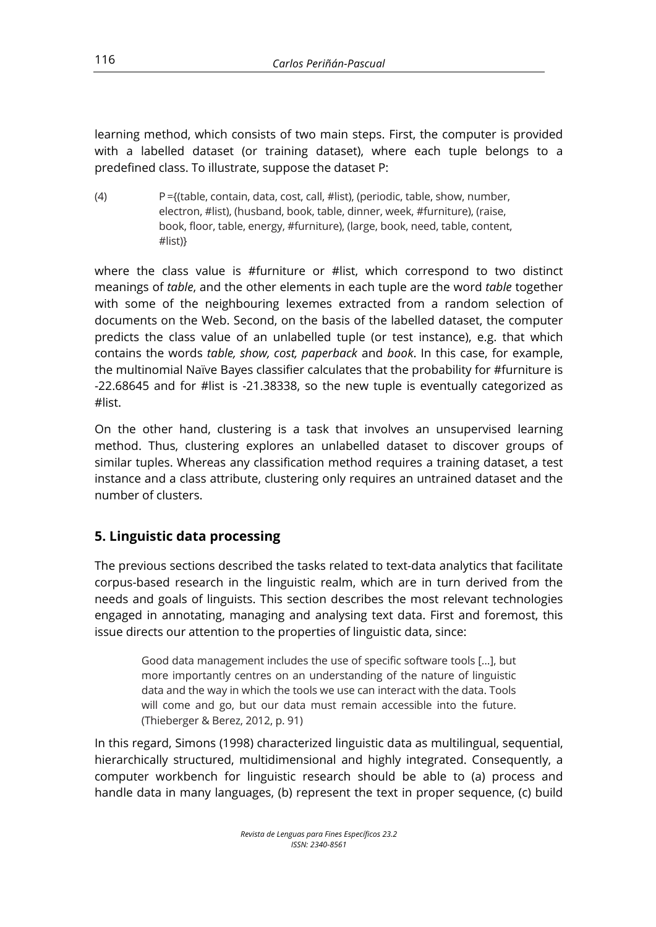learning method, which consists of two main steps. First, the computer is provided with a labelled dataset (or training dataset), where each tuple belongs to a predefined class. To illustrate, suppose the dataset P:

(4) P ={(table, contain, data, cost, call, #list), (periodic, table, show, number, electron, #list), (husband, book, table, dinner, week, #furniture), (raise, book, floor, table, energy, #furniture), (large, book, need, table, content, #list)}

where the class value is #furniture or #list, which correspond to two distinct meanings of *table*, and the other elements in each tuple are the word *table* together with some of the neighbouring lexemes extracted from a random selection of documents on the Web. Second, on the basis of the labelled dataset, the computer predicts the class value of an unlabelled tuple (or test instance), e.g. that which contains the words *table, show, cost, paperback* and *book*. In this case, for example, the multinomial Naïve Bayes classifier calculates that the probability for #furniture is -22.68645 and for #list is -21.38338, so the new tuple is eventually categorized as #list.

On the other hand, clustering is a task that involves an unsupervised learning method. Thus, clustering explores an unlabelled dataset to discover groups of similar tuples. Whereas any classification method requires a training dataset, a test instance and a class attribute, clustering only requires an untrained dataset and the number of clusters.

# **5. Linguistic data processing**

The previous sections described the tasks related to text-data analytics that facilitate corpus-based research in the linguistic realm, which are in turn derived from the needs and goals of linguists. This section describes the most relevant technologies engaged in annotating, managing and analysing text data. First and foremost, this issue directs our attention to the properties of linguistic data, since:

Good data management includes the use of specific software tools […], but more importantly centres on an understanding of the nature of linguistic data and the way in which the tools we use can interact with the data. Tools will come and go, but our data must remain accessible into the future. (Thieberger & Berez, 2012, p. 91)

In this regard, Simons (1998) characterized linguistic data as multilingual, sequential, hierarchically structured, multidimensional and highly integrated. Consequently, a computer workbench for linguistic research should be able to (a) process and handle data in many languages, (b) represent the text in proper sequence, (c) build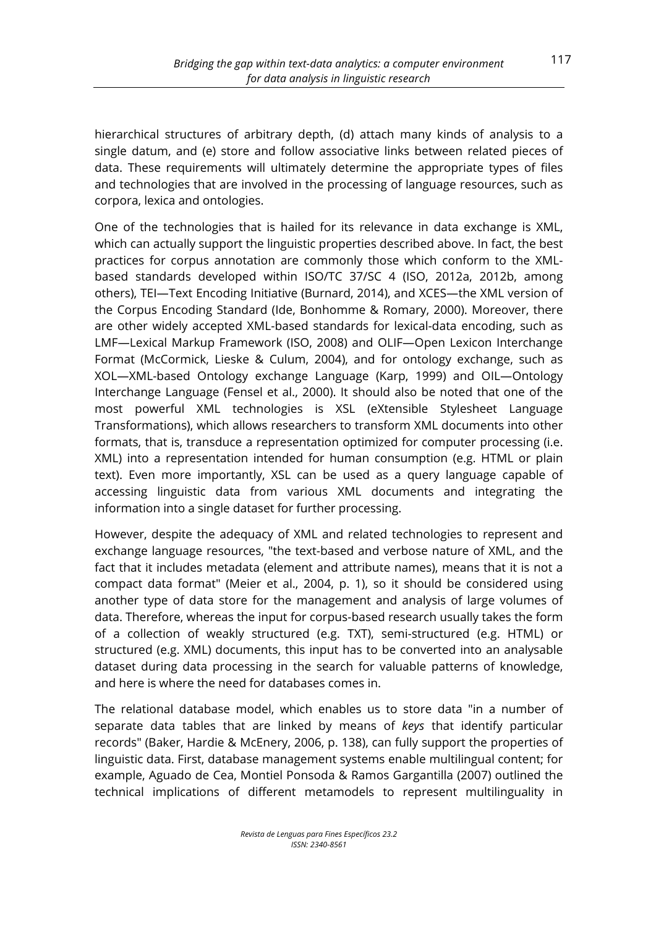hierarchical structures of arbitrary depth, (d) attach many kinds of analysis to a single datum, and (e) store and follow associative links between related pieces of data. These requirements will ultimately determine the appropriate types of files and technologies that are involved in the processing of language resources, such as corpora, lexica and ontologies.

One of the technologies that is hailed for its relevance in data exchange is XML, which can actually support the linguistic properties described above. In fact, the best practices for corpus annotation are commonly those which conform to the XMLbased standards developed within ISO/TC 37/SC 4 (ISO, 2012a, 2012b, among others), TEI—Text Encoding Initiative (Burnard, 2014), and XCES—the XML version of the Corpus Encoding Standard (Ide, Bonhomme & Romary, 2000). Moreover, there are other widely accepted XML-based standards for lexical-data encoding, such as LMF—Lexical Markup Framework (ISO, 2008) and OLIF—Open Lexicon Interchange Format (McCormick, Lieske & Culum, 2004), and for ontology exchange, such as XOL—XML-based Ontology exchange Language (Karp, 1999) and OIL—Ontology Interchange Language (Fensel et al., 2000). It should also be noted that one of the most powerful XML technologies is XSL (eXtensible Stylesheet Language Transformations), which allows researchers to transform XML documents into other formats, that is, transduce a representation optimized for computer processing (i.e. XML) into a representation intended for human consumption (e.g. HTML or plain text). Even more importantly, XSL can be used as a query language capable of accessing linguistic data from various XML documents and integrating the information into a single dataset for further processing.

However, despite the adequacy of XML and related technologies to represent and exchange language resources, "the text-based and verbose nature of XML, and the fact that it includes metadata (element and attribute names), means that it is not a compact data format" (Meier et al., 2004, p. 1), so it should be considered using another type of data store for the management and analysis of large volumes of data. Therefore, whereas the input for corpus-based research usually takes the form of a collection of weakly structured (e.g. TXT), semi-structured (e.g. HTML) or structured (e.g. XML) documents, this input has to be converted into an analysable dataset during data processing in the search for valuable patterns of knowledge, and here is where the need for databases comes in.

The relational database model, which enables us to store data "in a number of separate data tables that are linked by means of *keys* that identify particular records" (Baker, Hardie & McEnery, 2006, p. 138), can fully support the properties of linguistic data. First, database management systems enable multilingual content; for example, Aguado de Cea, Montiel Ponsoda & Ramos Gargantilla (2007) outlined the technical implications of different metamodels to represent multilinguality in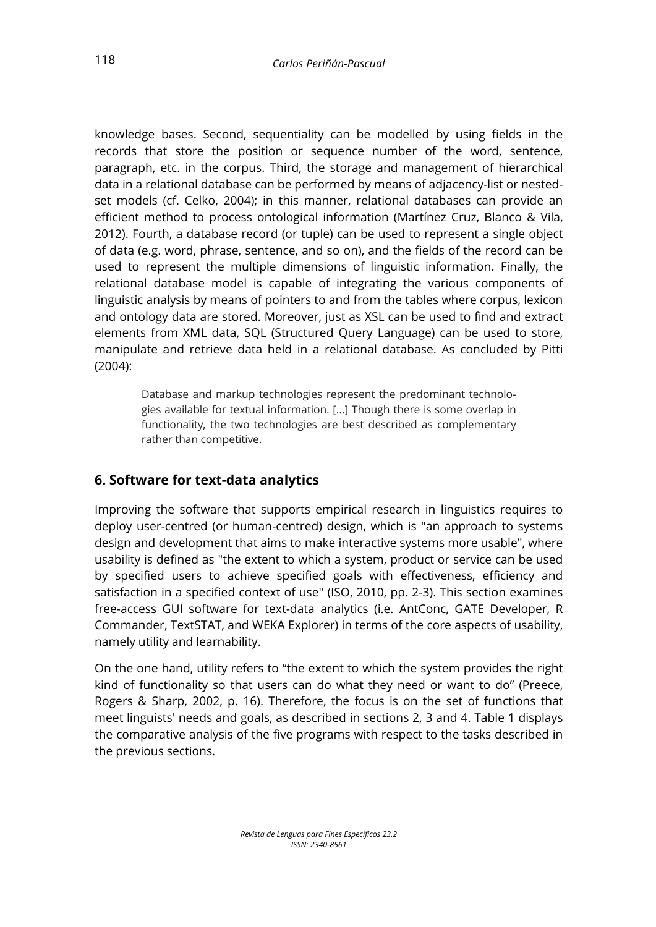knowledge bases. Second, sequentiality can be modelled by using fields in the records that store the position or sequence number of the word, sentence, paragraph, etc. in the corpus. Third, the storage and management of hierarchical data in a relational database can be performed by means of adjacency-list or nestedset models (cf. Celko, 2004); in this manner, relational databases can provide an efficient method to process ontological information (Martínez Cruz, Blanco & Vila, 2012). Fourth, a database record (or tuple) can be used to represent a single object of data (e.g. word, phrase, sentence, and so on), and the fields of the record can be used to represent the multiple dimensions of linguistic information. Finally, the relational database model is capable of integrating the various components of linguistic analysis by means of pointers to and from the tables where corpus, lexicon and ontology data are stored. Moreover, just as XSL can be used to find and extract elements from XML data, SQL (Structured Query Language) can be used to store, manipulate and retrieve data held in a relational database. As concluded by Pitti (2004):

Database and markup technologies represent the predominant technologies available for textual information. […] Though there is some overlap in functionality, the two technologies are best described as complementary rather than competitive.

## **6. Software for text-data analytics**

Improving the software that supports empirical research in linguistics requires to deploy user-centred (or human-centred) design, which is "an approach to systems design and development that aims to make interactive systems more usable", where usability is defined as "the extent to which a system, product or service can be used by specified users to achieve specified goals with effectiveness, efficiency and satisfaction in a specified context of use" (ISO, 2010, pp. 2-3). This section examines free-access GUI software for text-data analytics (i.e. AntConc, GATE Developer, R Commander, TextSTAT, and WEKA Explorer) in terms of the core aspects of usability, namely utility and learnability.

On the one hand, utility refers to "the extent to which the system provides the right kind of functionality so that users can do what they need or want to do" (Preece, Rogers & Sharp, 2002, p. 16). Therefore, the focus is on the set of functions that meet linguists' needs and goals, as described in sections 2, 3 and 4. Table 1 displays the comparative analysis of the five programs with respect to the tasks described in the previous sections.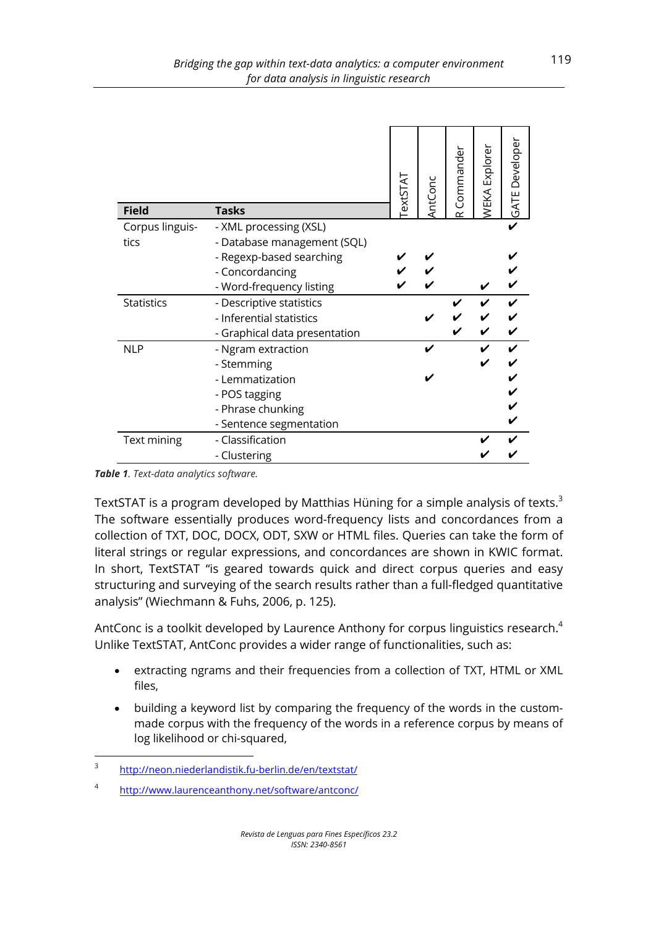| <b>Field</b>      | <b>Tasks</b>                  | <b>LATSTAS</b> | AntConc | Commander | <b>NEKA Explorer</b> | <b>GATE Developer</b> |
|-------------------|-------------------------------|----------------|---------|-----------|----------------------|-----------------------|
| Corpus linguis-   | - XML processing (XSL)        |                |         |           |                      |                       |
| tics              | - Database management (SQL)   |                |         |           |                      |                       |
|                   | - Regexp-based searching      |                |         |           |                      |                       |
|                   | - Concordancing               |                |         |           |                      |                       |
|                   | - Word-frequency listing      |                |         |           |                      |                       |
| <b>Statistics</b> | - Descriptive statistics      |                |         |           |                      |                       |
|                   | - Inferential statistics      |                |         |           |                      |                       |
|                   | - Graphical data presentation |                |         |           |                      |                       |
| <b>NLP</b>        | - Ngram extraction            |                |         |           |                      |                       |
|                   | - Stemming                    |                |         |           |                      |                       |
|                   | - Lemmatization               |                |         |           |                      |                       |
|                   | - POS tagging                 |                |         |           |                      |                       |
|                   | - Phrase chunking             |                |         |           |                      |                       |
|                   | - Sentence segmentation       |                |         |           |                      |                       |
| Text mining       | - Classification              |                |         |           |                      |                       |
|                   | - Clustering                  |                |         |           |                      |                       |

*Table 1. Text-data analytics software.*

TextSTAT is a program developed by Matthias Hüning for a simple analysis of texts.<sup>3</sup> The software essentially produces word-frequency lists and concordances from a collection of TXT, DOC, DOCX, ODT, SXW or HTML files. Queries can take the form of literal strings or regular expressions, and concordances are shown in KWIC format. In short, TextSTAT "is geared towards quick and direct corpus queries and easy structuring and surveying of the search results rather than a full-fledged quantitative analysis" (Wiechmann & Fuhs, 2006, p. 125).

AntConc is a toolkit developed by Laurence Anthony for corpus linguistics research.<sup>4</sup> Unlike TextSTAT, AntConc provides a wider range of functionalities, such as:

- extracting ngrams and their frequencies from a collection of TXT, HTML or XML files,
- building a keyword list by comparing the frequency of the words in the custommade corpus with the frequency of the words in a reference corpus by means of log likelihood or chi-squared,

<sup>3</sup> http://neon.niederlandistik.fu-berlin.de/en/textstat/

<sup>4</sup> http://www.laurenceanthony.net/software/antconc/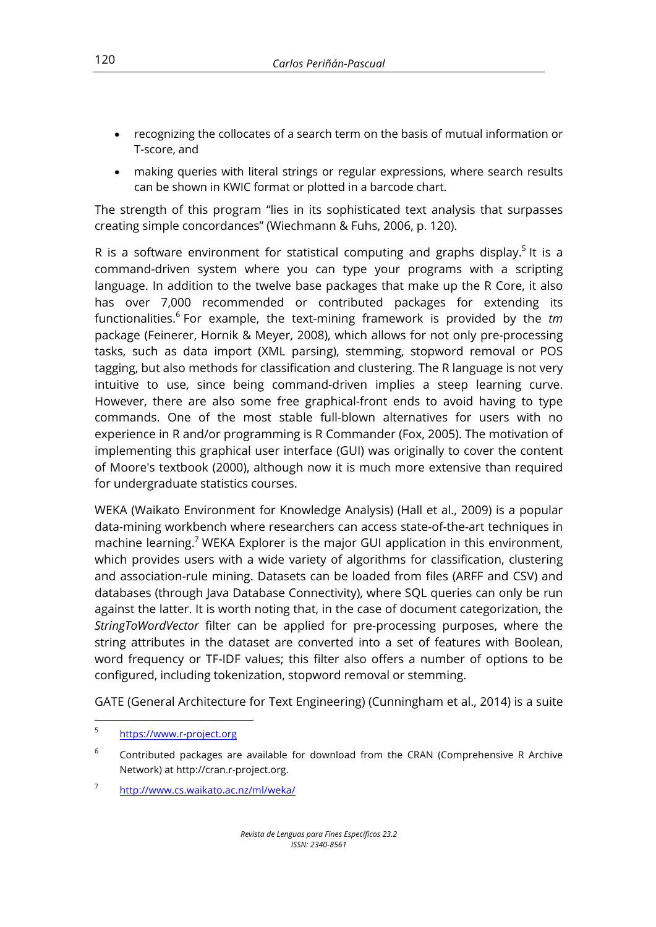- recognizing the collocates of a search term on the basis of mutual information or T-score, and
- making queries with literal strings or regular expressions, where search results can be shown in KWIC format or plotted in a barcode chart.

The strength of this program "lies in its sophisticated text analysis that surpasses creating simple concordances" (Wiechmann & Fuhs, 2006, p. 120).

R is a software environment for statistical computing and graphs display.<sup>5</sup> It is a command-driven system where you can type your programs with a scripting language. In addition to the twelve base packages that make up the R Core, it also has over 7,000 recommended or contributed packages for extending its functionalities.<sup>6</sup> For example, the text-mining framework is provided by the *tm* package (Feinerer, Hornik & Meyer, 2008), which allows for not only pre-processing tasks, such as data import (XML parsing), stemming, stopword removal or POS tagging, but also methods for classification and clustering. The R language is not very intuitive to use, since being command-driven implies a steep learning curve. However, there are also some free graphical-front ends to avoid having to type commands. One of the most stable full-blown alternatives for users with no experience in R and/or programming is R Commander (Fox, 2005). The motivation of implementing this graphical user interface (GUI) was originally to cover the content of Moore's textbook (2000), although now it is much more extensive than required for undergraduate statistics courses.

WEKA (Waikato Environment for Knowledge Analysis) (Hall et al., 2009) is a popular data-mining workbench where researchers can access state-of-the-art techniques in machine learning.<sup>7</sup> WEKA Explorer is the major GUI application in this environment, which provides users with a wide variety of algorithms for classification, clustering and association-rule mining. Datasets can be loaded from files (ARFF and CSV) and databases (through Java Database Connectivity), where SQL queries can only be run against the latter. It is worth noting that, in the case of document categorization, the *StringToWordVector* filter can be applied for pre-processing purposes, where the string attributes in the dataset are converted into a set of features with Boolean, word frequency or TF-IDF values; this filter also offers a number of options to be configured, including tokenization, stopword removal or stemming.

GATE (General Architecture for Text Engineering) (Cunningham et al., 2014) is a suite

<sup>5</sup> https://www.r-project.org

 $6$  Contributed packages are available for download from the CRAN (Comprehensive R Archive Network) at http://cran.r-project.org.

<sup>7</sup> http://www.cs.waikato.ac.nz/ml/weka/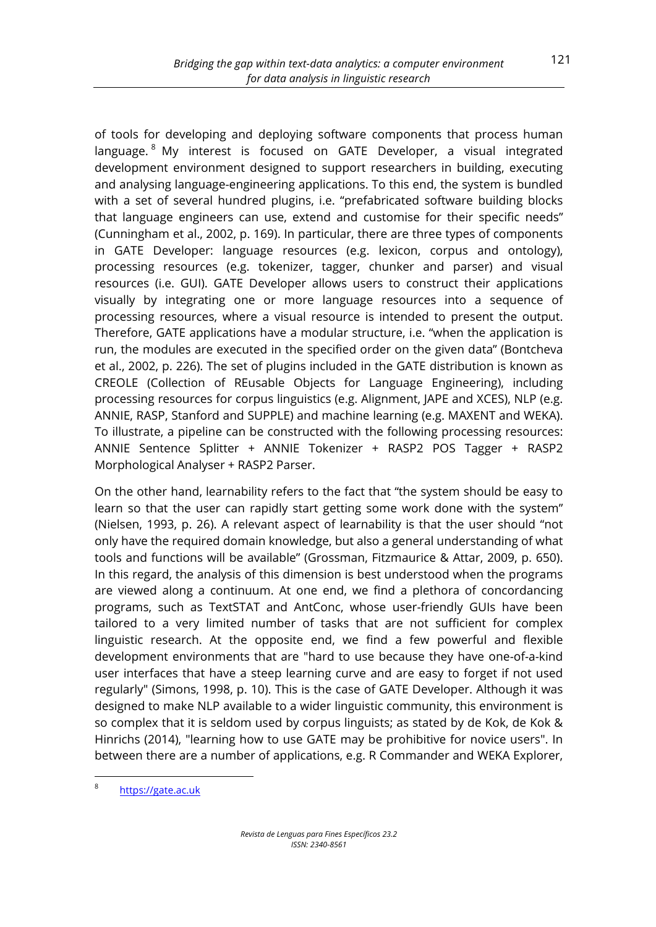of tools for developing and deploying software components that process human language. <sup>8</sup> My interest is focused on GATE Developer, a visual integrated development environment designed to support researchers in building, executing and analysing language-engineering applications. To this end, the system is bundled with a set of several hundred plugins, i.e. "prefabricated software building blocks that language engineers can use, extend and customise for their specific needs" (Cunningham et al., 2002, p. 169). In particular, there are three types of components in GATE Developer: language resources (e.g. lexicon, corpus and ontology), processing resources (e.g. tokenizer, tagger, chunker and parser) and visual resources (i.e. GUI). GATE Developer allows users to construct their applications visually by integrating one or more language resources into a sequence of processing resources, where a visual resource is intended to present the output. Therefore, GATE applications have a modular structure, i.e. "when the application is run, the modules are executed in the specified order on the given data" (Bontcheva et al., 2002, p. 226). The set of plugins included in the GATE distribution is known as CREOLE (Collection of REusable Objects for Language Engineering), including processing resources for corpus linguistics (e.g. Alignment, JAPE and XCES), NLP (e.g. ANNIE, RASP, Stanford and SUPPLE) and machine learning (e.g. MAXENT and WEKA). To illustrate, a pipeline can be constructed with the following processing resources: ANNIE Sentence Splitter + ANNIE Tokenizer + RASP2 POS Tagger + RASP2 Morphological Analyser + RASP2 Parser.

On the other hand, learnability refers to the fact that "the system should be easy to learn so that the user can rapidly start getting some work done with the system" (Nielsen, 1993, p. 26). A relevant aspect of learnability is that the user should "not only have the required domain knowledge, but also a general understanding of what tools and functions will be available" (Grossman, Fitzmaurice & Attar, 2009, p. 650). In this regard, the analysis of this dimension is best understood when the programs are viewed along a continuum. At one end, we find a plethora of concordancing programs, such as TextSTAT and AntConc, whose user-friendly GUIs have been tailored to a very limited number of tasks that are not sufficient for complex linguistic research. At the opposite end, we find a few powerful and flexible development environments that are "hard to use because they have one-of-a-kind user interfaces that have a steep learning curve and are easy to forget if not used regularly" (Simons, 1998, p. 10). This is the case of GATE Developer. Although it was designed to make NLP available to a wider linguistic community, this environment is so complex that it is seldom used by corpus linguists; as stated by de Kok, de Kok & Hinrichs (2014), "learning how to use GATE may be prohibitive for novice users". In between there are a number of applications, e.g. R Commander and WEKA Explorer,

<sup>8</sup> https://gate.ac.uk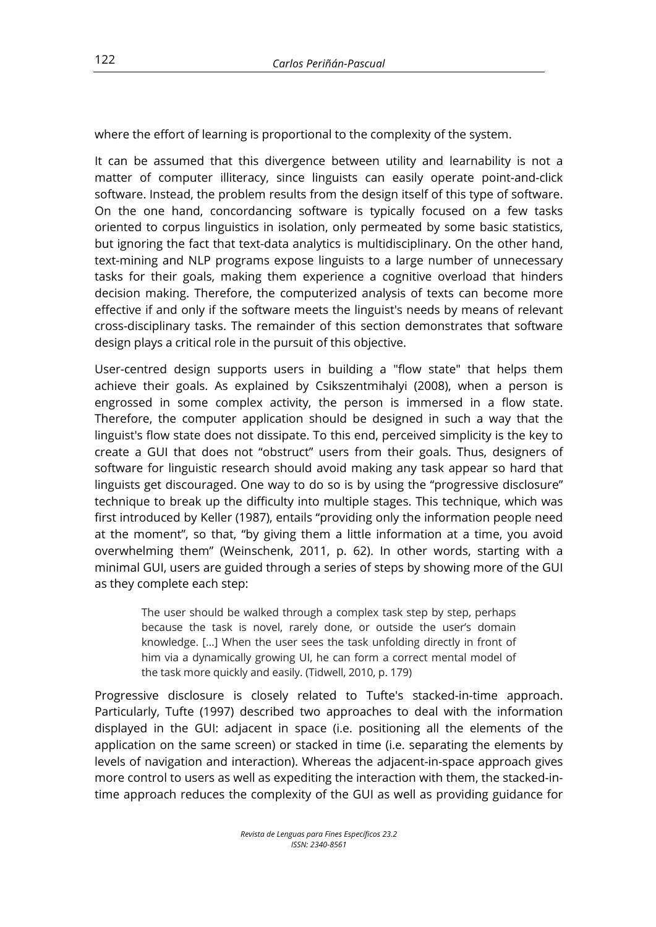where the effort of learning is proportional to the complexity of the system.

It can be assumed that this divergence between utility and learnability is not a matter of computer illiteracy, since linguists can easily operate point-and-click software. Instead, the problem results from the design itself of this type of software. On the one hand, concordancing software is typically focused on a few tasks oriented to corpus linguistics in isolation, only permeated by some basic statistics, but ignoring the fact that text-data analytics is multidisciplinary. On the other hand, text-mining and NLP programs expose linguists to a large number of unnecessary tasks for their goals, making them experience a cognitive overload that hinders decision making. Therefore, the computerized analysis of texts can become more effective if and only if the software meets the linguist's needs by means of relevant cross-disciplinary tasks. The remainder of this section demonstrates that software design plays a critical role in the pursuit of this objective.

User-centred design supports users in building a "flow state" that helps them achieve their goals. As explained by Csikszentmihalyi (2008), when a person is engrossed in some complex activity, the person is immersed in a flow state. Therefore, the computer application should be designed in such a way that the linguist's flow state does not dissipate. To this end, perceived simplicity is the key to create a GUI that does not "obstruct" users from their goals. Thus, designers of software for linguistic research should avoid making any task appear so hard that linguists get discouraged. One way to do so is by using the "progressive disclosure" technique to break up the difficulty into multiple stages. This technique, which was first introduced by Keller (1987), entails "providing only the information people need at the moment", so that, "by giving them a little information at a time, you avoid overwhelming them" (Weinschenk, 2011, p. 62). In other words, starting with a minimal GUI, users are guided through a series of steps by showing more of the GUI as they complete each step:

The user should be walked through a complex task step by step, perhaps because the task is novel, rarely done, or outside the user's domain knowledge. […] When the user sees the task unfolding directly in front of him via a dynamically growing UI, he can form a correct mental model of the task more quickly and easily. (Tidwell, 2010, p. 179)

Progressive disclosure is closely related to Tufte's stacked-in-time approach. Particularly, Tufte (1997) described two approaches to deal with the information displayed in the GUI: adjacent in space (i.e. positioning all the elements of the application on the same screen) or stacked in time (i.e. separating the elements by levels of navigation and interaction). Whereas the adjacent-in-space approach gives more control to users as well as expediting the interaction with them, the stacked-intime approach reduces the complexity of the GUI as well as providing guidance for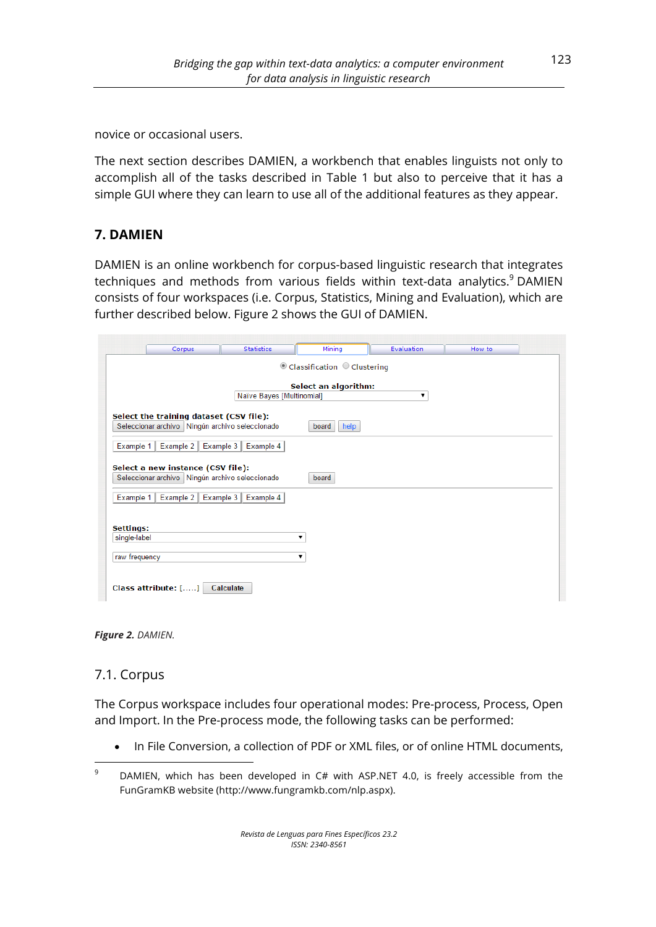novice or occasional users.

The next section describes DAMIEN, a workbench that enables linguists not only to accomplish all of the tasks described in Table 1 but also to perceive that it has a simple GUI where they can learn to use all of the additional features as they appear.

## **7. DAMIEN**

DAMIEN is an online workbench for corpus-based linguistic research that integrates techniques and methods from various fields within text-data analytics.<sup>9</sup> DAMIEN consists of four workspaces (i.e. Corpus, Statistics, Mining and Evaluation), which are further described below. Figure 2 shows the GUI of DAMIEN.

|               | Corpus                                          | <b>Statistics</b>         | Mining                                    | <b>Evaluation</b> | How to |  |
|---------------|-------------------------------------------------|---------------------------|-------------------------------------------|-------------------|--------|--|
|               |                                                 |                           | $\odot$ Classification $\odot$ Clustering |                   |        |  |
|               |                                                 |                           |                                           |                   |        |  |
|               |                                                 |                           | Select an algorithm:                      |                   |        |  |
|               |                                                 | Naïve Bayes [Multinomial] |                                           | ۷.                |        |  |
|               |                                                 |                           |                                           |                   |        |  |
|               | Select the training dataset (CSV file):         |                           |                                           |                   |        |  |
|               | Seleccionar archivo Ningún archivo seleccionado |                           | help<br>board                             |                   |        |  |
| Example 1     | Example 2                                       | Example 3<br>Example 4    |                                           |                   |        |  |
|               |                                                 |                           |                                           |                   |        |  |
|               | Select a new instance (CSV file):               |                           |                                           |                   |        |  |
|               | Seleccionar archivo Ningún archivo seleccionado |                           | board                                     |                   |        |  |
|               |                                                 |                           |                                           |                   |        |  |
| Example 1     | Example 2   Example 3                           | Example 4                 |                                           |                   |        |  |
|               |                                                 |                           |                                           |                   |        |  |
| Settings:     |                                                 |                           |                                           |                   |        |  |
| single-label  |                                                 |                           |                                           |                   |        |  |
|               |                                                 |                           |                                           |                   |        |  |
| raw frequency |                                                 |                           | ۷.                                        |                   |        |  |
|               |                                                 |                           |                                           |                   |        |  |
|               |                                                 |                           |                                           |                   |        |  |
|               | Class attribute: []                             | Calculate                 |                                           |                   |        |  |

*Figure 2. DAMIEN.*

## 7.1. Corpus

 

The Corpus workspace includes four operational modes: Pre-process, Process, Open and Import. In the Pre-process mode, the following tasks can be performed:

• In File Conversion, a collection of PDF or XML files, or of online HTML documents,

 $9$  DAMIEN, which has been developed in C# with ASP.NET 4.0, is freely accessible from the FunGramKB website (http://www.fungramkb.com/nlp.aspx).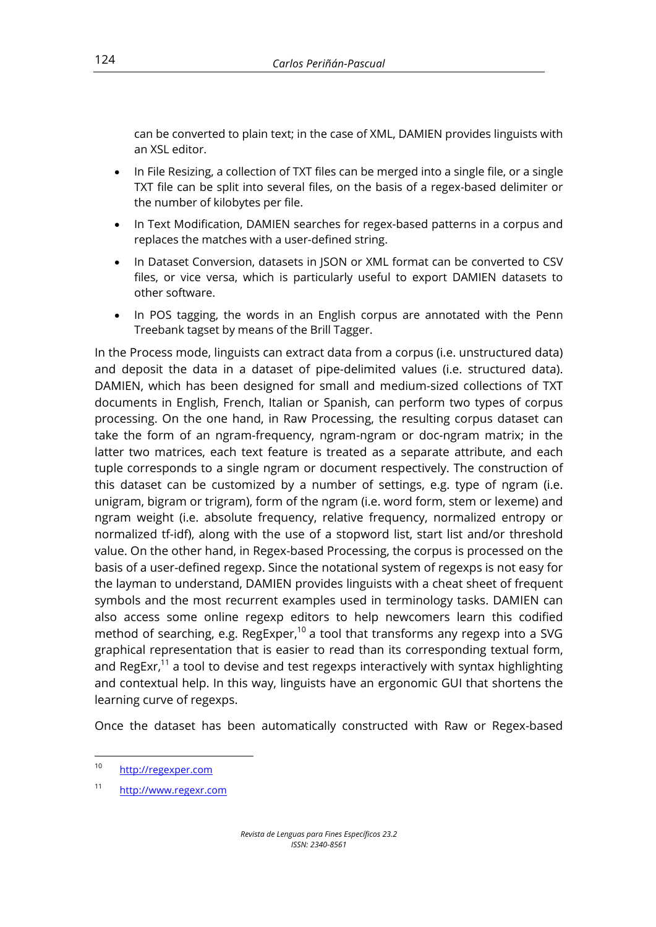can be converted to plain text; in the case of XML, DAMIEN provides linguists with an XSL editor.

- In File Resizing, a collection of TXT files can be merged into a single file, or a single TXT file can be split into several files, on the basis of a regex-based delimiter or the number of kilobytes per file.
- In Text Modification, DAMIEN searches for regex-based patterns in a corpus and replaces the matches with a user-defined string.
- In Dataset Conversion, datasets in JSON or XML format can be converted to CSV files, or vice versa, which is particularly useful to export DAMIEN datasets to other software.
- In POS tagging, the words in an English corpus are annotated with the Penn Treebank tagset by means of the Brill Tagger.

In the Process mode, linguists can extract data from a corpus (i.e. unstructured data) and deposit the data in a dataset of pipe-delimited values (i.e. structured data). DAMIEN, which has been designed for small and medium-sized collections of TXT documents in English, French, Italian or Spanish, can perform two types of corpus processing. On the one hand, in Raw Processing, the resulting corpus dataset can take the form of an ngram-frequency, ngram-ngram or doc-ngram matrix; in the latter two matrices, each text feature is treated as a separate attribute, and each tuple corresponds to a single ngram or document respectively. The construction of this dataset can be customized by a number of settings, e.g. type of ngram (i.e. unigram, bigram or trigram), form of the ngram (i.e. word form, stem or lexeme) and ngram weight (i.e. absolute frequency, relative frequency, normalized entropy or normalized tf-idf), along with the use of a stopword list, start list and/or threshold value. On the other hand, in Regex-based Processing, the corpus is processed on the basis of a user-defined regexp. Since the notational system of regexps is not easy for the layman to understand, DAMIEN provides linguists with a cheat sheet of frequent symbols and the most recurrent examples used in terminology tasks. DAMIEN can also access some online regexp editors to help newcomers learn this codified method of searching, e.g. RegExper,<sup>10</sup> a tool that transforms any regexp into a SVG graphical representation that is easier to read than its corresponding textual form, and RegExr,<sup>11</sup> a tool to devise and test regexps interactively with syntax highlighting and contextual help. In this way, linguists have an ergonomic GUI that shortens the learning curve of regexps.

Once the dataset has been automatically constructed with Raw or Regex-based

<sup>10</sup> http://regexper.com

<sup>11</sup> http://www.regexr.com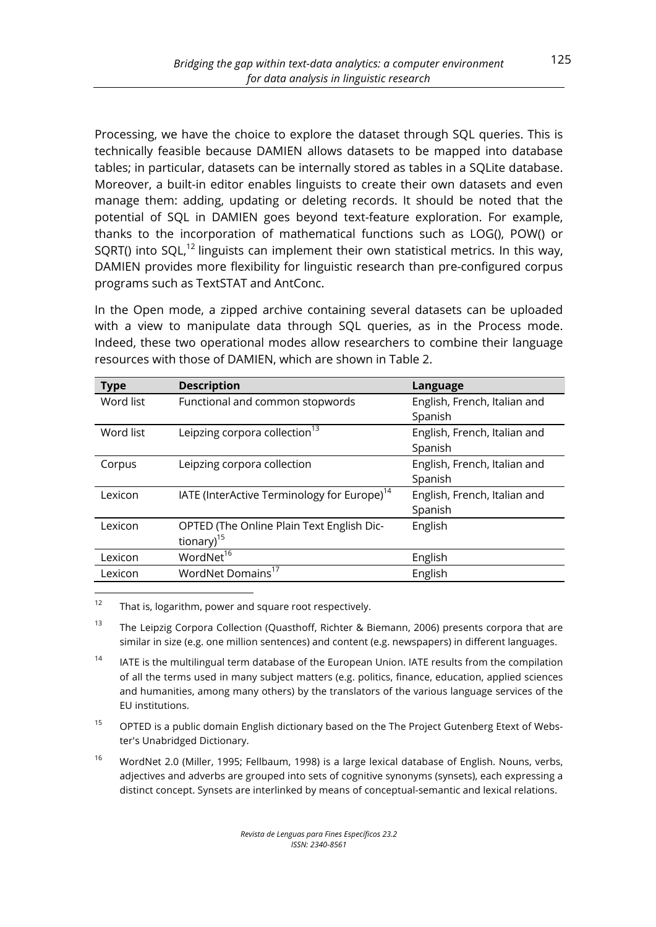Processing, we have the choice to explore the dataset through SQL queries. This is technically feasible because DAMIEN allows datasets to be mapped into database tables; in particular, datasets can be internally stored as tables in a SQLite database. Moreover, a built-in editor enables linguists to create their own datasets and even manage them: adding, updating or deleting records. It should be noted that the potential of SQL in DAMIEN goes beyond text-feature exploration. For example, thanks to the incorporation of mathematical functions such as LOG(), POW() or SQRT() into SQL, $^{12}$  linguists can implement their own statistical metrics. In this way, DAMIEN provides more flexibility for linguistic research than pre-configured corpus programs such as TextSTAT and AntConc.

In the Open mode, a zipped archive containing several datasets can be uploaded with a view to manipulate data through SQL queries, as in the Process mode. Indeed, these two operational modes allow researchers to combine their language resources with those of DAMIEN, which are shown in Table 2.

| <b>Type</b> | <b>Description</b>                                      | Language                     |
|-------------|---------------------------------------------------------|------------------------------|
| Word list   | Functional and common stopwords                         | English, French, Italian and |
|             |                                                         | Spanish                      |
| Word list   | Leipzing corpora collection <sup>13</sup>               | English, French, Italian and |
|             |                                                         | Spanish                      |
| Corpus      | Leipzing corpora collection                             | English, French, Italian and |
|             |                                                         | Spanish                      |
| Lexicon     | IATE (InterActive Terminology for Europe) <sup>14</sup> | English, French, Italian and |
|             |                                                         | Spanish                      |
| Lexicon     | OPTED (The Online Plain Text English Dic-               | English                      |
|             | tionary) $15$                                           |                              |
| Lexicon     | WordNet <sup>16</sup>                                   | English                      |
| Lexicon     | WordNet Domains <sup>17</sup>                           | English                      |

 $12$  That is, logarithm, power and square root respectively.

 

<sup>13</sup> The Leipzig Corpora Collection (Quasthoff, Richter & Biemann, 2006) presents corpora that are similar in size (e.g. one million sentences) and content (e.g. newspapers) in different languages.

- <sup>14</sup> IATE is the multilingual term database of the European Union. IATE results from the compilation of all the terms used in many subject matters (e.g. politics, finance, education, applied sciences and humanities, among many others) by the translators of the various language services of the EU institutions.
- <sup>15</sup> OPTED is a public domain English dictionary based on the The Project Gutenberg Etext of Webster's Unabridged Dictionary.
- <sup>16</sup> WordNet 2.0 (Miller, 1995; Fellbaum, 1998) is a large lexical database of English. Nouns, verbs, adjectives and adverbs are grouped into sets of cognitive synonyms (synsets), each expressing a distinct concept. Synsets are interlinked by means of conceptual-semantic and lexical relations.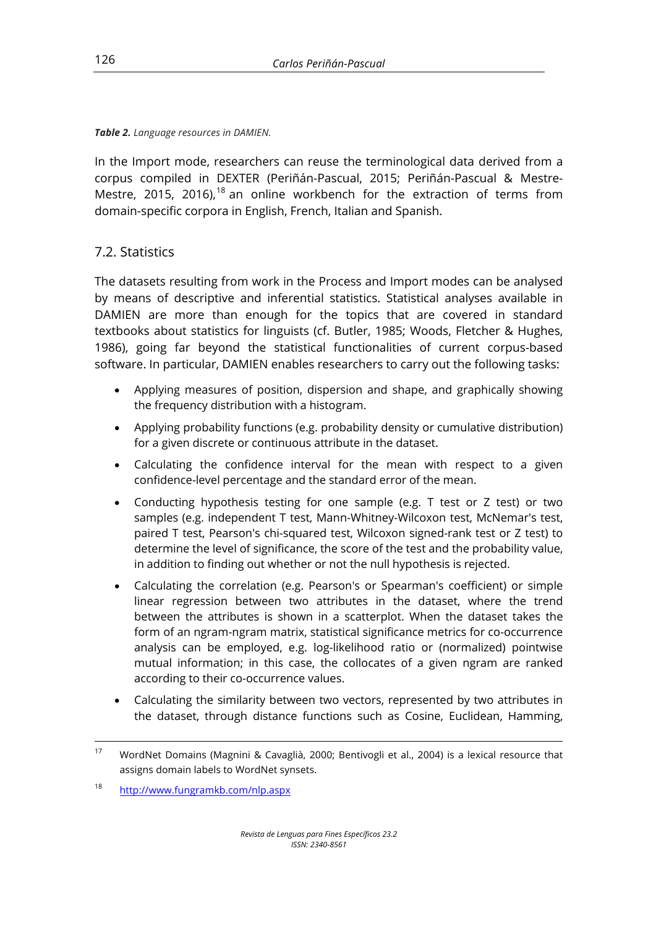*Table 2. Language resources in DAMIEN.*

In the Import mode, researchers can reuse the terminological data derived from a corpus compiled in DEXTER (Periñán-Pascual, 2015; Periñán-Pascual & Mestre-Mestre, 2015, 2016),<sup>18</sup> an online workbench for the extraction of terms from domain-specific corpora in English, French, Italian and Spanish.

## 7.2. Statistics

The datasets resulting from work in the Process and Import modes can be analysed by means of descriptive and inferential statistics. Statistical analyses available in DAMIEN are more than enough for the topics that are covered in standard textbooks about statistics for linguists (cf. Butler, 1985; Woods, Fletcher & Hughes, 1986), going far beyond the statistical functionalities of current corpus-based software. In particular, DAMIEN enables researchers to carry out the following tasks:

- Applying measures of position, dispersion and shape, and graphically showing the frequency distribution with a histogram.
- Applying probability functions (e.g. probability density or cumulative distribution) for a given discrete or continuous attribute in the dataset.
- Calculating the confidence interval for the mean with respect to a given confidence-level percentage and the standard error of the mean.
- Conducting hypothesis testing for one sample (e.g. T test or Z test) or two samples (e.g. independent T test, Mann-Whitney-Wilcoxon test, McNemar's test, paired T test, Pearson's chi-squared test, Wilcoxon signed-rank test or Z test) to determine the level of significance, the score of the test and the probability value, in addition to finding out whether or not the null hypothesis is rejected.
- Calculating the correlation (e.g. Pearson's or Spearman's coefficient) or simple linear regression between two attributes in the dataset, where the trend between the attributes is shown in a scatterplot. When the dataset takes the form of an ngram-ngram matrix, statistical significance metrics for co-occurrence analysis can be employed, e.g. log-likelihood ratio or (normalized) pointwise mutual information; in this case, the collocates of a given ngram are ranked according to their co-occurrence values.
- Calculating the similarity between two vectors, represented by two attributes in the dataset, through distance functions such as Cosine, Euclidean, Hamming,

<sup>&</sup>lt;u> 1989 - Andrea Santa Alemania, poeta esperanto-se esperanto-se esperanto-se esperanto-se esperanto-se esperan</u> <sup>17</sup> WordNet Domains (Magnini & Cavaglià, 2000; Bentivogli et al., 2004) is a lexical resource that assigns domain labels to WordNet synsets.

<sup>18</sup> http://www.fungramkb.com/nlp.aspx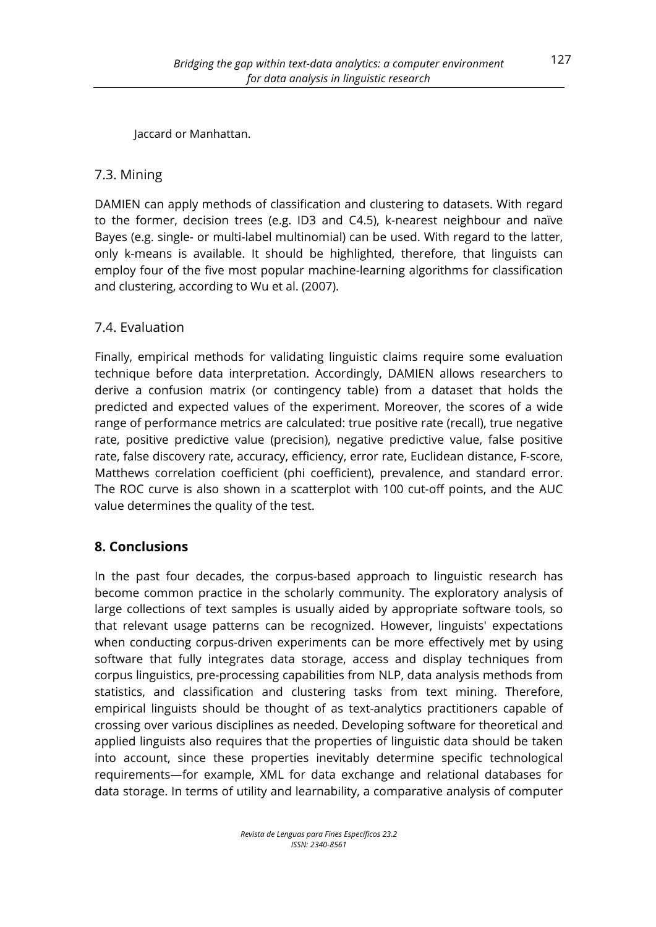Jaccard or Manhattan.

## 7.3. Mining

DAMIEN can apply methods of classification and clustering to datasets. With regard to the former, decision trees (e.g. ID3 and C4.5), k-nearest neighbour and naïve Bayes (e.g. single- or multi-label multinomial) can be used. With regard to the latter, only k-means is available. It should be highlighted, therefore, that linguists can employ four of the five most popular machine-learning algorithms for classification and clustering, according to Wu et al. (2007).

## 7.4. Evaluation

Finally, empirical methods for validating linguistic claims require some evaluation technique before data interpretation. Accordingly, DAMIEN allows researchers to derive a confusion matrix (or contingency table) from a dataset that holds the predicted and expected values of the experiment. Moreover, the scores of a wide range of performance metrics are calculated: true positive rate (recall), true negative rate, positive predictive value (precision), negative predictive value, false positive rate, false discovery rate, accuracy, efficiency, error rate, Euclidean distance, F-score, Matthews correlation coefficient (phi coefficient), prevalence, and standard error. The ROC curve is also shown in a scatterplot with 100 cut-off points, and the AUC value determines the quality of the test.

## **8. Conclusions**

In the past four decades, the corpus-based approach to linguistic research has become common practice in the scholarly community. The exploratory analysis of large collections of text samples is usually aided by appropriate software tools, so that relevant usage patterns can be recognized. However, linguists' expectations when conducting corpus-driven experiments can be more effectively met by using software that fully integrates data storage, access and display techniques from corpus linguistics, pre-processing capabilities from NLP, data analysis methods from statistics, and classification and clustering tasks from text mining. Therefore, empirical linguists should be thought of as text-analytics practitioners capable of crossing over various disciplines as needed. Developing software for theoretical and applied linguists also requires that the properties of linguistic data should be taken into account, since these properties inevitably determine specific technological requirements—for example, XML for data exchange and relational databases for data storage. In terms of utility and learnability, a comparative analysis of computer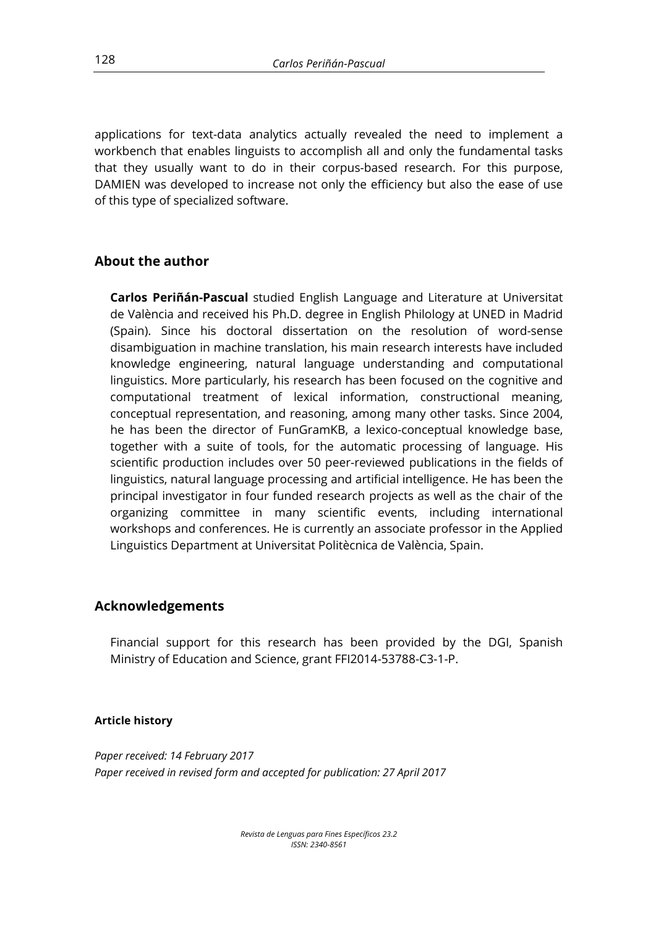applications for text-data analytics actually revealed the need to implement a workbench that enables linguists to accomplish all and only the fundamental tasks that they usually want to do in their corpus-based research. For this purpose, DAMIEN was developed to increase not only the efficiency but also the ease of use of this type of specialized software.

## **About the author**

**Carlos Periñán-Pascual** studied English Language and Literature at Universitat de València and received his Ph.D. degree in English Philology at UNED in Madrid (Spain). Since his doctoral dissertation on the resolution of word-sense disambiguation in machine translation, his main research interests have included knowledge engineering, natural language understanding and computational linguistics. More particularly, his research has been focused on the cognitive and computational treatment of lexical information, constructional meaning, conceptual representation, and reasoning, among many other tasks. Since 2004, he has been the director of FunGramKB, a lexico-conceptual knowledge base, together with a suite of tools, for the automatic processing of language. His scientific production includes over 50 peer-reviewed publications in the fields of linguistics, natural language processing and artificial intelligence. He has been the principal investigator in four funded research projects as well as the chair of the organizing committee in many scientific events, including international workshops and conferences. He is currently an associate professor in the Applied Linguistics Department at Universitat Politècnica de València, Spain.

#### **Acknowledgements**

Financial support for this research has been provided by the DGI, Spanish Ministry of Education and Science, grant FFI2014-53788-C3-1-P.

#### **Article history**

*Paper received: 14 February 2017 Paper received in revised form and accepted for publication: 27 April 2017*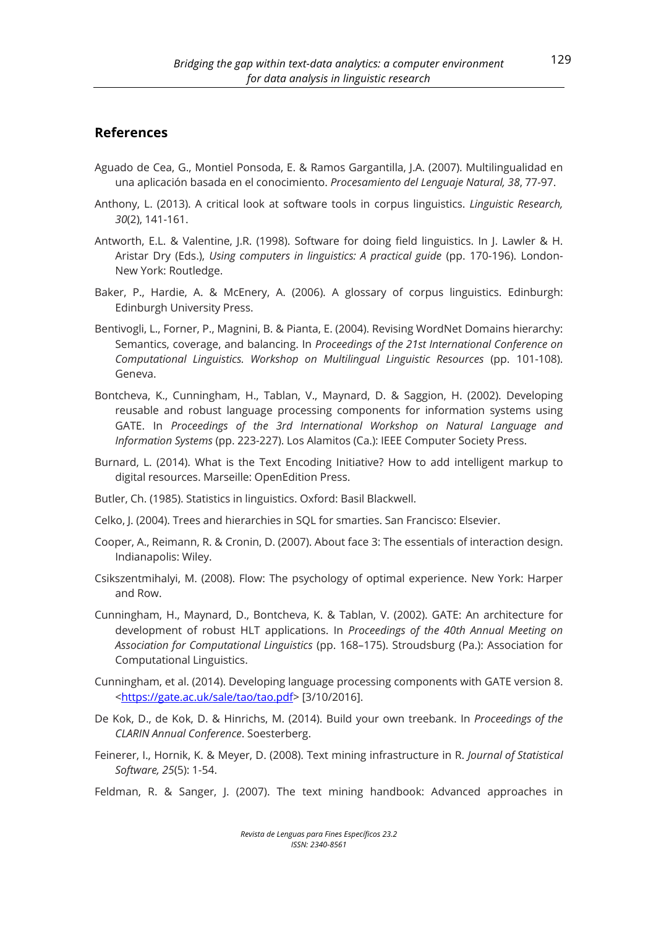#### **References**

- Aguado de Cea, G., Montiel Ponsoda, E. & Ramos Gargantilla, J.A. (2007). Multilingualidad en una aplicación basada en el conocimiento. *Procesamiento del Lenguaje Natural, 38*, 77-97.
- Anthony, L. (2013). A critical look at software tools in corpus linguistics. *Linguistic Research, 30*(2), 141-161.
- Antworth, E.L. & Valentine, J.R. (1998). Software for doing field linguistics. In J. Lawler & H. Aristar Dry (Eds.), *Using computers in linguistics: A practical guide* (pp. 170-196). London-New York: Routledge.
- Baker, P., Hardie, A. & McEnery, A. (2006). A glossary of corpus linguistics. Edinburgh: Edinburgh University Press.
- Bentivogli, L., Forner, P., Magnini, B. & Pianta, E. (2004). Revising WordNet Domains hierarchy: Semantics, coverage, and balancing. In *Proceedings of the 21st International Conference on Computational Linguistics. Workshop on Multilingual Linguistic Resources* (pp. 101-108). Geneva.
- Bontcheva, K., Cunningham, H., Tablan, V., Maynard, D. & Saggion, H. (2002). Developing reusable and robust language processing components for information systems using GATE. In *Proceedings of the 3rd International Workshop on Natural Language and Information Systems* (pp. 223-227). Los Alamitos (Ca.): IEEE Computer Society Press.
- Burnard, L. (2014). What is the Text Encoding Initiative? How to add intelligent markup to digital resources. Marseille: OpenEdition Press.
- Butler, Ch. (1985). Statistics in linguistics. Oxford: Basil Blackwell.
- Celko, J. (2004). Trees and hierarchies in SQL for smarties. San Francisco: Elsevier.
- Cooper, A., Reimann, R. & Cronin, D. (2007). About face 3: The essentials of interaction design. Indianapolis: Wiley.
- Csikszentmihalyi, M. (2008). Flow: The psychology of optimal experience. New York: Harper and Row.
- Cunningham, H., Maynard, D., Bontcheva, K. & Tablan, V. (2002). GATE: An architecture for development of robust HLT applications. In *Proceedings of the 40th Annual Meeting on Association for Computational Linguistics* (pp. 168–175). Stroudsburg (Pa.): Association for Computational Linguistics.
- Cunningham, et al. (2014). Developing language processing components with GATE version 8. <https://gate.ac.uk/sale/tao/tao.pdf> [3/10/2016].
- De Kok, D., de Kok, D. & Hinrichs, M. (2014). Build your own treebank. In *Proceedings of the CLARIN Annual Conference*. Soesterberg.
- Feinerer, I., Hornik, K. & Meyer, D. (2008). Text mining infrastructure in R. *Journal of Statistical Software, 25*(5): 1-54.
- Feldman, R. & Sanger, J. (2007). The text mining handbook: Advanced approaches in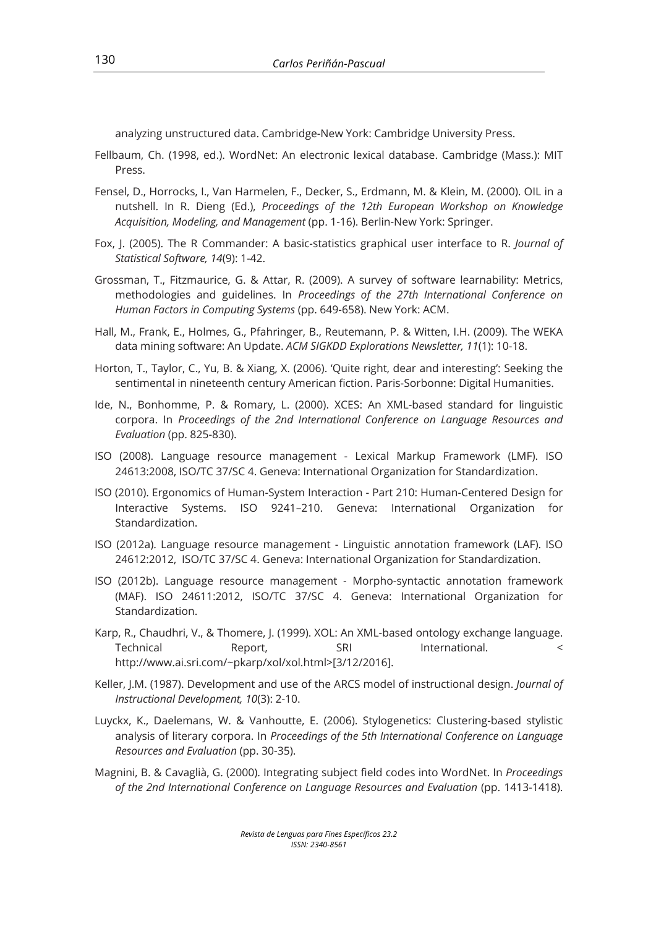analyzing unstructured data. Cambridge-New York: Cambridge University Press.

- Fellbaum, Ch. (1998, ed.). WordNet: An electronic lexical database. Cambridge (Mass.): MIT Press.
- Fensel, D., Horrocks, I., Van Harmelen, F., Decker, S., Erdmann, M. & Klein, M. (2000). OIL in a nutshell. In R. Dieng (Ed.), *Proceedings of the 12th European Workshop on Knowledge Acquisition, Modeling, and Management* (pp. 1-16). Berlin-New York: Springer.
- Fox, J. (2005). The R Commander: A basic-statistics graphical user interface to R. *Journal of Statistical Software, 14*(9): 1-42.
- Grossman, T., Fitzmaurice, G. & Attar, R. (2009). A survey of software learnability: Metrics, methodologies and guidelines. In *Proceedings of the 27th International Conference on Human Factors in Computing Systems* (pp. 649-658). New York: ACM.
- Hall, M., Frank, E., Holmes, G., Pfahringer, B., Reutemann, P. & Witten, I.H. (2009). The WEKA data mining software: An Update. *ACM SIGKDD Explorations Newsletter, 11*(1): 10-18.
- Horton, T., Taylor, C., Yu, B. & Xiang, X. (2006). 'Quite right, dear and interesting': Seeking the sentimental in nineteenth century American fiction. Paris-Sorbonne: Digital Humanities.
- Ide, N., Bonhomme, P. & Romary, L. (2000). XCES: An XML-based standard for linguistic corpora. In *Proceedings of the 2nd International Conference on Language Resources and Evaluation* (pp. 825-830).
- ISO (2008). Language resource management Lexical Markup Framework (LMF). ISO 24613:2008, ISO/TC 37/SC 4. Geneva: International Organization for Standardization.
- ISO (2010). Ergonomics of Human-System Interaction Part 210: Human-Centered Design for Interactive Systems. ISO 9241–210. Geneva: International Organization for Standardization.
- ISO (2012a). Language resource management Linguistic annotation framework (LAF). ISO 24612:2012, ISO/TC 37/SC 4. Geneva: International Organization for Standardization.
- ISO (2012b). Language resource management Morpho-syntactic annotation framework (MAF). ISO 24611:2012, ISO/TC 37/SC 4. Geneva: International Organization for Standardization.
- Karp, R., Chaudhri, V., & Thomere, J. (1999). XOL: An XML-based ontology exchange language. Technical Report. SRI International. < http://www.ai.sri.com/~pkarp/xol/xol.html>[3/12/2016].
- Keller, J.M. (1987). Development and use of the ARCS model of instructional design. *Journal of Instructional Development, 10*(3): 2-10.
- Luyckx, K., Daelemans, W. & Vanhoutte, E. (2006). Stylogenetics: Clustering-based stylistic analysis of literary corpora. In *Proceedings of the 5th International Conference on Language Resources and Evaluation* (pp. 30-35).
- Magnini, B. & Cavaglià, G. (2000). Integrating subject field codes into WordNet. In *Proceedings of the 2nd International Conference on Language Resources and Evaluation* (pp. 1413-1418).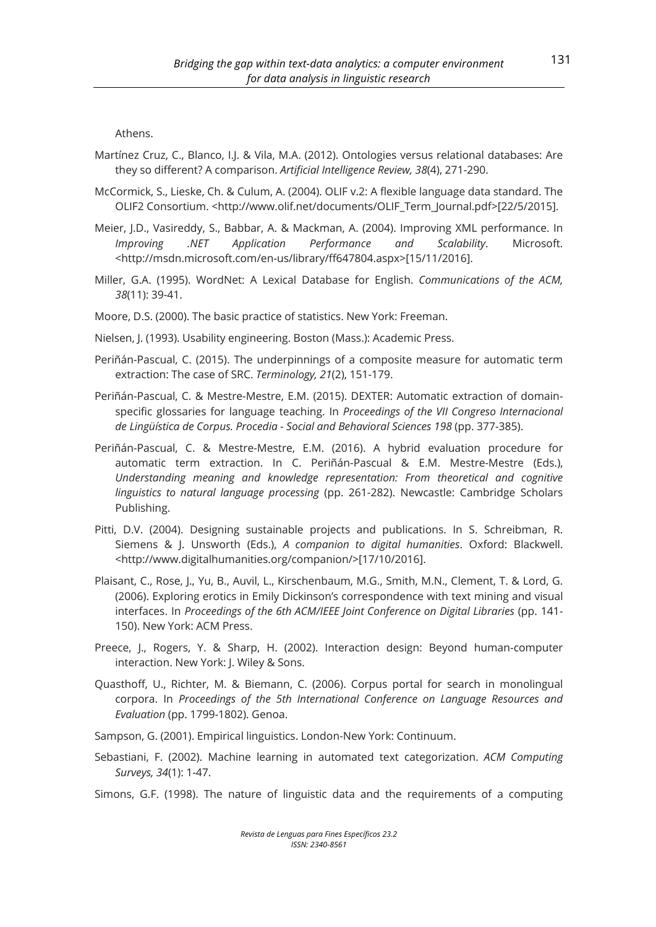Athens.

- Martínez Cruz, C., Blanco, I.J. & Vila, M.A. (2012). Ontologies versus relational databases: Are they so different? A comparison. *Artificial Intelligence Review, 38*(4), 271-290.
- McCormick, S., Lieske, Ch. & Culum, A. (2004). OLIF v.2: A flexible language data standard. The OLIF2 Consortium. <http://www.olif.net/documents/OLIF\_Term\_Journal.pdf>[22/5/2015].
- Meier, J.D., Vasireddy, S., Babbar, A. & Mackman, A. (2004). Improving XML performance. In *Improving .NET Application Performance and Scalability*. Microsoft. <http://msdn.microsoft.com/en-us/library/ff647804.aspx>[15/11/2016].
- Miller, G.A. (1995). WordNet: A Lexical Database for English. *Communications of the ACM, 38*(11): 39-41.

Moore, D.S. (2000). The basic practice of statistics. New York: Freeman.

- Nielsen, J. (1993). Usability engineering. Boston (Mass.): Academic Press.
- Periñán-Pascual, C. (2015). The underpinnings of a composite measure for automatic term extraction: The case of SRC. *Terminology, 21*(2), 151-179.
- Periñán-Pascual, C. & Mestre-Mestre, E.M. (2015). DEXTER: Automatic extraction of domainspecific glossaries for language teaching. In *Proceedings of the VII Congreso Internacional de Lingüística de Corpus. Procedia - Social and Behavioral Sciences 198* (pp. 377-385).
- Periñán-Pascual, C. & Mestre-Mestre, E.M. (2016). A hybrid evaluation procedure for automatic term extraction. In C. Periñán-Pascual & E.M. Mestre-Mestre (Eds.), *Understanding meaning and knowledge representation: From theoretical and cognitive linguistics to natural language processing* (pp. 261-282). Newcastle: Cambridge Scholars Publishing.
- Pitti, D.V. (2004). Designing sustainable projects and publications. In S. Schreibman, R. Siemens & J. Unsworth (Eds.), *A companion to digital humanities*. Oxford: Blackwell. <http://www.digitalhumanities.org/companion/>[17/10/2016].
- Plaisant, C., Rose, J., Yu, B., Auvil, L., Kirschenbaum, M.G., Smith, M.N., Clement, T. & Lord, G. (2006). Exploring erotics in Emily Dickinson's correspondence with text mining and visual interfaces. In *Proceedings of the 6th ACM/IEEE Joint Conference on Digital Libraries* (pp. 141- 150). New York: ACM Press.
- Preece, J., Rogers, Y. & Sharp, H. (2002). Interaction design: Beyond human-computer interaction. New York: J. Wiley & Sons.
- Quasthoff, U., Richter, M. & Biemann, C. (2006). Corpus portal for search in monolingual corpora. In *Proceedings of the 5th International Conference on Language Resources and Evaluation* (pp. 1799-1802). Genoa.
- Sampson, G. (2001). Empirical linguistics. London-New York: Continuum.
- Sebastiani, F. (2002). Machine learning in automated text categorization. *ACM Computing Surveys, 34*(1): 1-47.
- Simons, G.F. (1998). The nature of linguistic data and the requirements of a computing